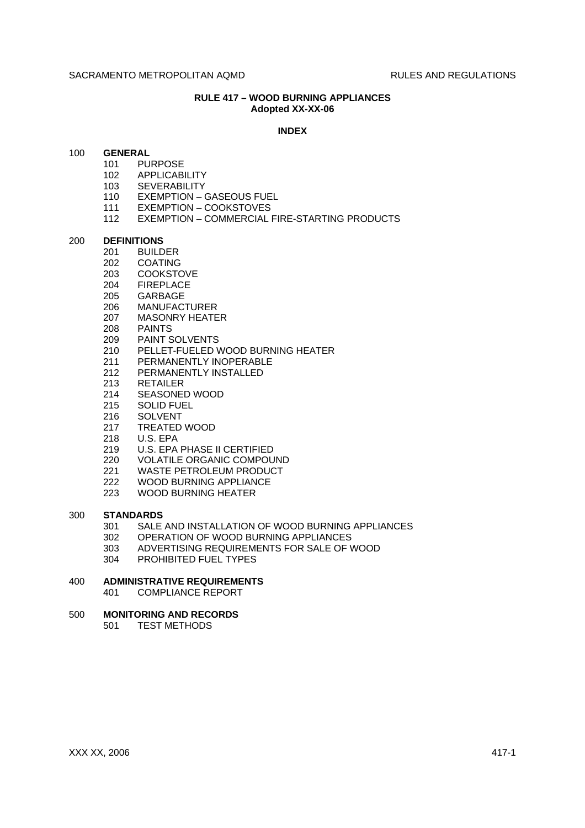# **RULE 417 – WOOD BURNING APPLIANCES Adopted XX-XX-06**

#### **INDEX**

## 100 **GENERAL**

- 101 PURPOSE
- 102 APPLICABILITY
- 103 SEVERABILITY
- 110 EXEMPTION GASEOUS FUEL
- 111 EXEMPTION COOKSTOVES
- 112 EXEMPTION COMMERCIAL FIRE-STARTING PRODUCTS

# 200 **DEFINITIONS**

- **BUILDER**
- 202 COATING
- 203 COOKSTOVE
- 204 FIREPLACE
- 205 GARBAGE
- 206 MANUFACTURER
- 207 MASONRY HEATER
- 208 PAINTS
- 209 PAINT SOLVENTS
- 210 PELLET-FUELED WOOD BURNING HEATER
- 211 PERMANENTLY INOPERABLE
- 212 PERMANENTLY INSTALLED
- 213 RETAILER
- 214 SEASONED WOOD
- 215 SOLID FUEL
- 216 SOLVENT
- 217 TREATED WOOD
- 218 U.S. EPA
- 219 U.S. EPA PHASE II CERTIFIED
- 220 VOLATILE ORGANIC COMPOUND
- 221 WASTE PETROLEUM PRODUCT
- 
- 222 WOOD BURNING APPLIANCE<br>223 WOOD BURNING HEATER WOOD BURNING HEATER

#### 300 **STANDARDS**

- 301 SALE AND INSTALLATION OF WOOD BURNING APPLIANCES
- 302 OPERATION OF WOOD BURNING APPLIANCES
- 303 ADVERTISING REQUIREMENTS FOR SALE OF WOOD
- 304 PROHIBITED FUEL TYPES

# 400 **ADMINISTRATIVE REQUIREMENTS**

401 COMPLIANCE REPORT

# 500 **MONITORING AND RECORDS**

501 TEST METHODS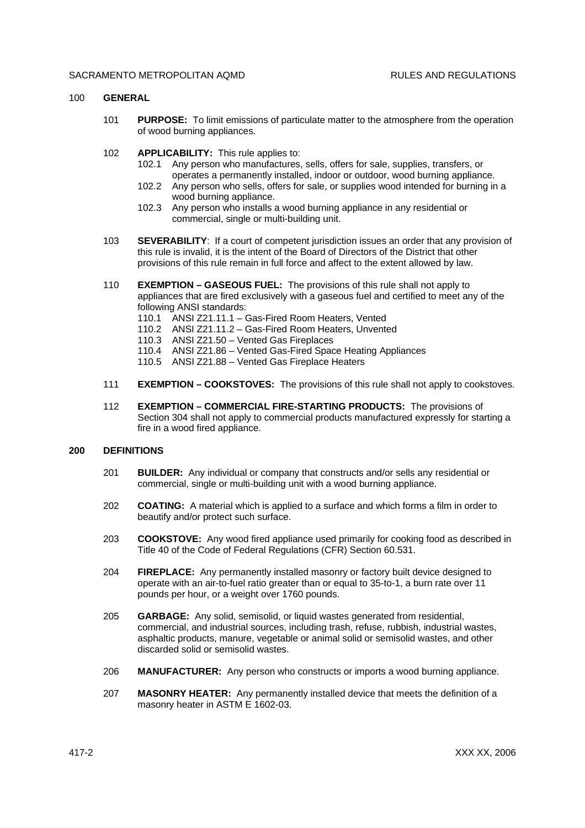## 100 **GENERAL**

- 101 **PURPOSE:** To limit emissions of particulate matter to the atmosphere from the operation of wood burning appliances.
- 102 **APPLICABILITY:** This rule applies to:
	- 102.1 Any person who manufactures, sells, offers for sale, supplies, transfers, or operates a permanently installed, indoor or outdoor, wood burning appliance.
	- 102.2 Any person who sells, offers for sale, or supplies wood intended for burning in a wood burning appliance.
	- 102.3 Any person who installs a wood burning appliance in any residential or commercial, single or multi-building unit.
- 103 **SEVERABILITY**: If a court of competent jurisdiction issues an order that any provision of this rule is invalid, it is the intent of the Board of Directors of the District that other provisions of this rule remain in full force and affect to the extent allowed by law.
- 110 **EXEMPTION GASEOUS FUEL:** The provisions of this rule shall not apply to appliances that are fired exclusively with a gaseous fuel and certified to meet any of the following ANSI standards:
	- 110.1 ANSI Z21.11.1 Gas-Fired Room Heaters, Vented
	- 110.2 ANSI Z21.11.2 Gas-Fired Room Heaters, Unvented
	- 110.3 ANSI Z21.50 Vented Gas Fireplaces
	- 110.4 ANSI Z21.86 Vented Gas-Fired Space Heating Appliances
	- 110.5 ANSI Z21.88 Vented Gas Fireplace Heaters
- 111 **EXEMPTION COOKSTOVES:** The provisions of this rule shall not apply to cookstoves.
- 112 **EXEMPTION COMMERCIAL FIRE-STARTING PRODUCTS:** The provisions of Section 304 shall not apply to commercial products manufactured expressly for starting a fire in a wood fired appliance.

# **200 DEFINITIONS**

- 201 **BUILDER:** Any individual or company that constructs and/or sells any residential or commercial, single or multi-building unit with a wood burning appliance.
- 202 **COATING:** A material which is applied to a surface and which forms a film in order to beautify and/or protect such surface.
- 203 **COOKSTOVE:** Any wood fired appliance used primarily for cooking food as described in Title 40 of the Code of Federal Regulations (CFR) Section 60.531.
- 204 **FIREPLACE:** Any permanently installed masonry or factory built device designed to operate with an air-to-fuel ratio greater than or equal to 35-to-1, a burn rate over 11 pounds per hour, or a weight over 1760 pounds.
- 205 **GARBAGE:** Any solid, semisolid, or liquid wastes generated from residential, commercial, and industrial sources, including trash, refuse, rubbish, industrial wastes, asphaltic products, manure, vegetable or animal solid or semisolid wastes, and other discarded solid or semisolid wastes.
- 206 **MANUFACTURER:** Any person who constructs or imports a wood burning appliance.
- 207 **MASONRY HEATER:** Any permanently installed device that meets the definition of a masonry heater in ASTM E 1602-03.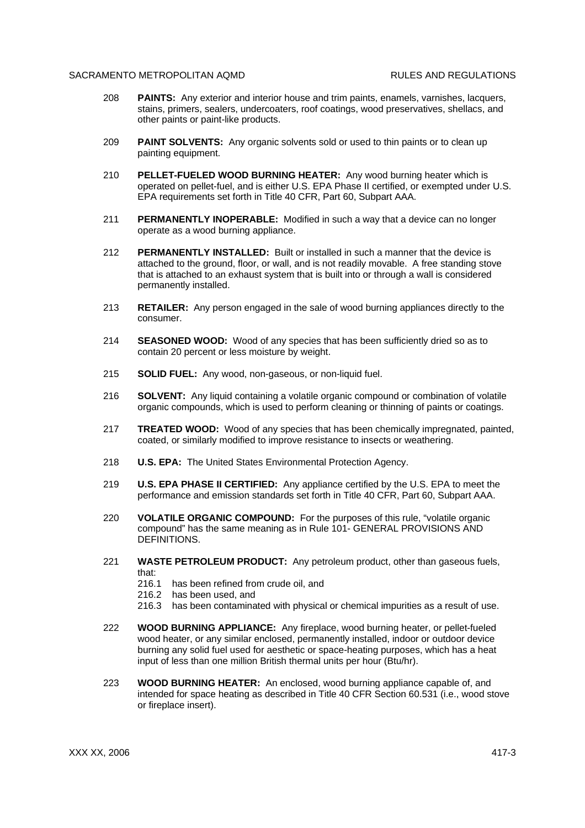- 208 **PAINTS:** Any exterior and interior house and trim paints, enamels, varnishes, lacquers, stains, primers, sealers, undercoaters, roof coatings, wood preservatives, shellacs, and other paints or paint-like products.
- 209 **PAINT SOLVENTS:** Any organic solvents sold or used to thin paints or to clean up painting equipment.
- 210 **PELLET-FUELED WOOD BURNING HEATER:** Any wood burning heater which is operated on pellet-fuel, and is either U.S. EPA Phase II certified, or exempted under U.S. EPA requirements set forth in Title 40 CFR, Part 60, Subpart AAA.
- 211 **PERMANENTLY INOPERABLE:** Modified in such a way that a device can no longer operate as a wood burning appliance.
- 212 **PERMANENTLY INSTALLED:** Built or installed in such a manner that the device is attached to the ground, floor, or wall, and is not readily movable. A free standing stove that is attached to an exhaust system that is built into or through a wall is considered permanently installed.
- 213 **RETAILER:** Any person engaged in the sale of wood burning appliances directly to the consumer.
- 214 **SEASONED WOOD:** Wood of any species that has been sufficiently dried so as to contain 20 percent or less moisture by weight.
- 215 **SOLID FUEL:** Any wood, non-gaseous, or non-liquid fuel.
- 216 **SOLVENT:** Any liquid containing a volatile organic compound or combination of volatile organic compounds, which is used to perform cleaning or thinning of paints or coatings.
- 217 **TREATED WOOD:** Wood of any species that has been chemically impregnated, painted, coated, or similarly modified to improve resistance to insects or weathering.
- 218 **U.S. EPA:** The United States Environmental Protection Agency.
- 219 **U.S. EPA PHASE II CERTIFIED:** Any appliance certified by the U.S. EPA to meet the performance and emission standards set forth in Title 40 CFR, Part 60, Subpart AAA.
- 220 **VOLATILE ORGANIC COMPOUND:** For the purposes of this rule, "volatile organic compound" has the same meaning as in Rule 101- GENERAL PROVISIONS AND DEFINITIONS.
- 221 **WASTE PETROLEUM PRODUCT:** Any petroleum product, other than gaseous fuels, that:
	- 216.1 has been refined from crude oil, and
	- 216.2 has been used, and
	- 216.3 has been contaminated with physical or chemical impurities as a result of use.
- 222 **WOOD BURNING APPLIANCE:** Any fireplace, wood burning heater, or pellet-fueled wood heater, or any similar enclosed, permanently installed, indoor or outdoor device burning any solid fuel used for aesthetic or space-heating purposes, which has a heat input of less than one million British thermal units per hour (Btu/hr).
- 223 **WOOD BURNING HEATER:** An enclosed, wood burning appliance capable of, and intended for space heating as described in Title 40 CFR Section 60.531 (i.e., wood stove or fireplace insert).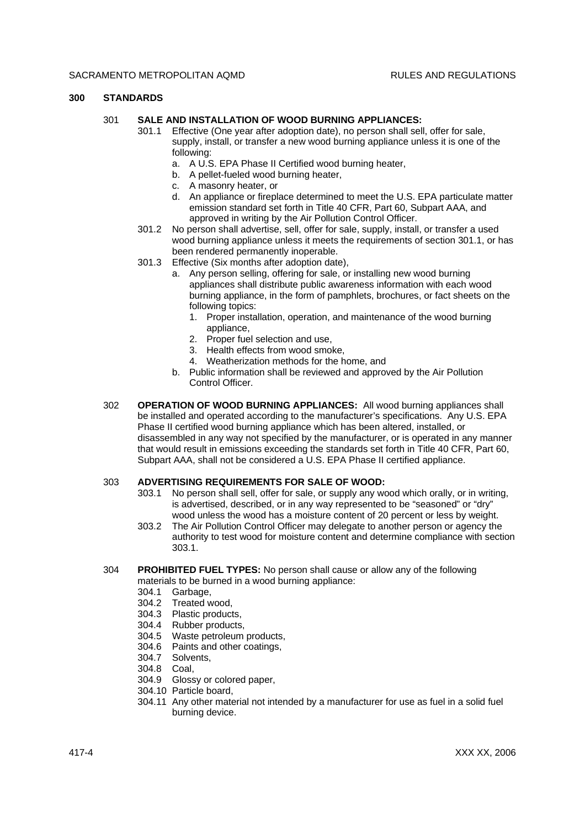## **300 STANDARDS**

## 301 **SALE AND INSTALLATION OF WOOD BURNING APPLIANCES:**

- 301.1 Effective (One year after adoption date), no person shall sell, offer for sale, supply, install, or transfer a new wood burning appliance unless it is one of the following:
	- a. A U.S. EPA Phase II Certified wood burning heater,
	- b. A pellet-fueled wood burning heater,
	- c. A masonry heater, or
	- d. An appliance or fireplace determined to meet the U.S. EPA particulate matter emission standard set forth in Title 40 CFR, Part 60, Subpart AAA, and approved in writing by the Air Pollution Control Officer.
- 301.2 No person shall advertise, sell, offer for sale, supply, install, or transfer a used wood burning appliance unless it meets the requirements of section 301.1, or has been rendered permanently inoperable.
- 301.3 Effective (Six months after adoption date),
	- a. Any person selling, offering for sale, or installing new wood burning appliances shall distribute public awareness information with each wood burning appliance, in the form of pamphlets, brochures, or fact sheets on the following topics:
		- 1. Proper installation, operation, and maintenance of the wood burning appliance,
		- 2. Proper fuel selection and use,
		- 3. Health effects from wood smoke,
		- 4. Weatherization methods for the home, and
	- b. Public information shall be reviewed and approved by the Air Pollution Control Officer.
- 302 **OPERATION OF WOOD BURNING APPLIANCES:** All wood burning appliances shall be installed and operated according to the manufacturer's specifications. Any U.S. EPA Phase II certified wood burning appliance which has been altered, installed, or disassembled in any way not specified by the manufacturer, or is operated in any manner that would result in emissions exceeding the standards set forth in Title 40 CFR, Part 60, Subpart AAA, shall not be considered a U.S. EPA Phase II certified appliance.

# 303 **ADVERTISING REQUIREMENTS FOR SALE OF WOOD:**

- 303.1 No person shall sell, offer for sale, or supply any wood which orally, or in writing, is advertised, described, or in any way represented to be "seasoned" or "dry" wood unless the wood has a moisture content of 20 percent or less by weight.
- 303.2 The Air Pollution Control Officer may delegate to another person or agency the authority to test wood for moisture content and determine compliance with section 303.1.

#### 304 **PROHIBITED FUEL TYPES:** No person shall cause or allow any of the following materials to be burned in a wood burning appliance:

- 
- 304.1 Garbage, Treated wood.
- 304.3 Plastic products,
- 304.4 Rubber products,
- 304.5 Waste petroleum products,
- 304.6 Paints and other coatings,
- 304.7 Solvents,
- 304.8 Coal,
- 304.9 Glossy or colored paper,
- 304.10 Particle board,
- 304.11 Any other material not intended by a manufacturer for use as fuel in a solid fuel burning device.